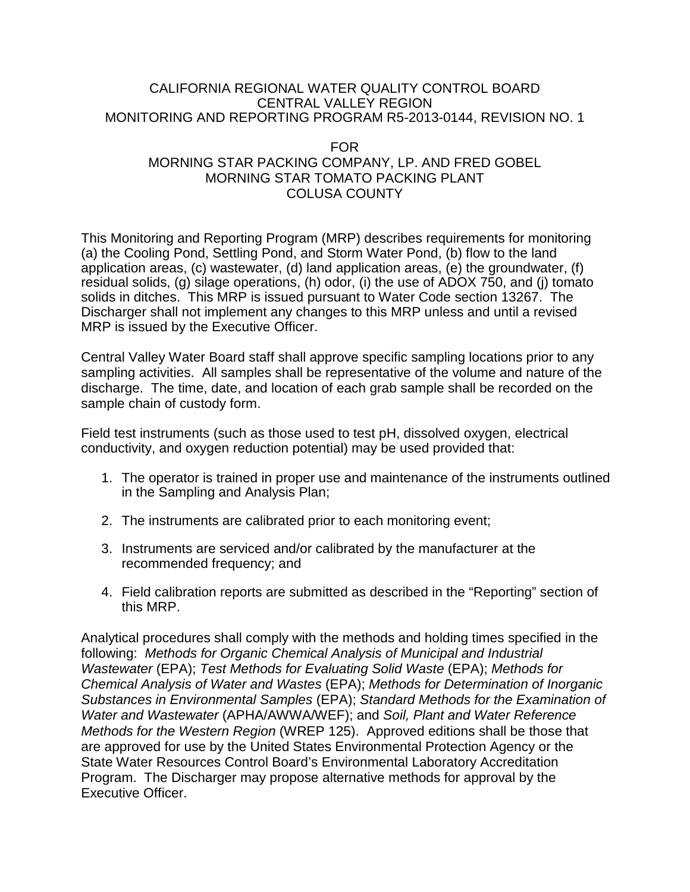#### CALIFORNIA REGIONAL WATER QUALITY CONTROL BOARD CENTRAL VALLEY REGION MONITORING AND REPORTING PROGRAM R5-2013-0144, REVISION NO. 1

### FOR MORNING STAR PACKING COMPANY, LP. AND FRED GOBEL MORNING STAR TOMATO PACKING PLANT COLUSA COUNTY

This Monitoring and Reporting Program (MRP) describes requirements for monitoring (a) the Cooling Pond, Settling Pond, and Storm Water Pond, (b) flow to the land application areas, (c) wastewater, (d) land application areas, (e) the groundwater, (f) residual solids, (g) silage operations, (h) odor, (i) the use of ADOX 750, and (j) tomato solids in ditches. This MRP is issued pursuant to Water Code section 13267. The Discharger shall not implement any changes to this MRP unless and until a revised MRP is issued by the Executive Officer.

Central Valley Water Board staff shall approve specific sampling locations prior to any sampling activities. All samples shall be representative of the volume and nature of the discharge. The time, date, and location of each grab sample shall be recorded on the sample chain of custody form.

Field test instruments (such as those used to test pH, dissolved oxygen, electrical conductivity, and oxygen reduction potential) may be used provided that:

- 1. The operator is trained in proper use and maintenance of the instruments outlined in the Sampling and Analysis Plan;
- 2. The instruments are calibrated prior to each monitoring event;
- 3. Instruments are serviced and/or calibrated by the manufacturer at the recommended frequency; and
- 4. Field calibration reports are submitted as described in the "Reporting" section of this MRP.

Analytical procedures shall comply with the methods and holding times specified in the following: *Methods for Organic Chemical Analysis of Municipal and Industrial Wastewater* (EPA); *Test Methods for Evaluating Solid Waste* (EPA); *Methods for Chemical Analysis of Water and Wastes* (EPA); *Methods for Determination of Inorganic Substances in Environmental Samples* (EPA); *Standard Methods for the Examination of Water and Wastewater* (APHA/AWWA/WEF); and *Soil, Plant and Water Reference Methods for the Western Region* (WREP 125). Approved editions shall be those that are approved for use by the United States Environmental Protection Agency or the State Water Resources Control Board's Environmental Laboratory Accreditation Program. The Discharger may propose alternative methods for approval by the Executive Officer.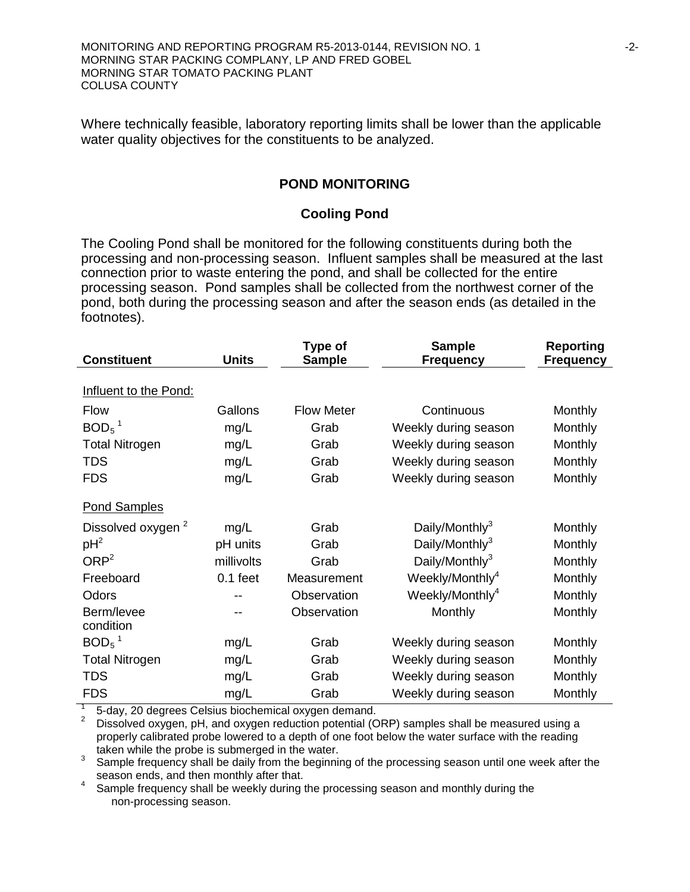MONITORING AND REPORTING PROGRAM R5-2013-0144, REVISION NO. 1  $-2$ -MORNING STAR PACKING COMPLANY, LP AND FRED GOBEL MORNING STAR TOMATO PACKING PLANT COLUSA COUNTY

Where technically feasible, laboratory reporting limits shall be lower than the applicable water quality objectives for the constituents to be analyzed.

#### **POND MONITORING**

#### **Cooling Pond**

The Cooling Pond shall be monitored for the following constituents during both the processing and non-processing season. Influent samples shall be measured at the last connection prior to waste entering the pond, and shall be collected for the entire processing season. Pond samples shall be collected from the northwest corner of the pond, both during the processing season and after the season ends (as detailed in the footnotes).

| <b>Constituent</b>            | <b>Units</b> | Type of<br><b>Sample</b> | <b>Sample</b><br><b>Frequency</b> | <b>Reporting</b><br><b>Frequency</b> |
|-------------------------------|--------------|--------------------------|-----------------------------------|--------------------------------------|
|                               |              |                          |                                   |                                      |
| Influent to the Pond:         |              |                          |                                   |                                      |
| <b>Flow</b>                   | Gallons      | <b>Flow Meter</b>        | Continuous                        | Monthly                              |
| $BOD5$ <sup>1</sup>           | mg/L         | Grab                     | Weekly during season              | Monthly                              |
| <b>Total Nitrogen</b>         | mg/L         | Grab                     | Weekly during season              | Monthly                              |
| <b>TDS</b>                    | mg/L         | Grab                     | Weekly during season              | Monthly                              |
| <b>FDS</b>                    | mg/L         | Grab                     | Weekly during season              | Monthly                              |
| <b>Pond Samples</b>           |              |                          |                                   |                                      |
| Dissolved oxygen <sup>2</sup> | mg/L         | Grab                     | Daily/Monthly <sup>3</sup>        | Monthly                              |
| $pH^2$                        | pH units     | Grab                     | Daily/Monthly <sup>3</sup>        | Monthly                              |
| ORP <sup>2</sup>              | millivolts   | Grab                     | Daily/Monthly <sup>3</sup>        | Monthly                              |
| Freeboard                     | $0.1$ feet   | Measurement              | Weekly/Monthly <sup>4</sup>       | Monthly                              |
| Odors                         |              | Observation              | Weekly/Monthly <sup>4</sup>       | Monthly                              |
| Berm/levee<br>condition       |              | Observation              | Monthly                           | Monthly                              |
| $BOD5$ <sup>1</sup>           | mg/L         | Grab                     | Weekly during season              | Monthly                              |
| <b>Total Nitrogen</b>         | mg/L         | Grab                     | Weekly during season              | Monthly                              |
| <b>TDS</b>                    | mg/L         | Grab                     | Weekly during season              | Monthly                              |
| <b>FDS</b>                    | mg/L         | Grab                     | Weekly during season              | Monthly                              |

1 5-day, 20 degrees Celsius biochemical oxygen demand.<br><sup>2</sup> Dissolved oxygen, pH, and oxygen reduction potential (ORP) samples shall be measured using a properly calibrated probe lowered to a depth of one foot below the water surface with the reading taken while the probe is submerged in the water.

taken while the probe is submerged in the measure.<br>
Sample frequency shall be daily from the beginning of the processing season until one week after the<br>
season ends, and then monthly after that.

season ends, and then monthly after that.  $\frac{1}{2}$  is the processing season and monthly during the non-processing season.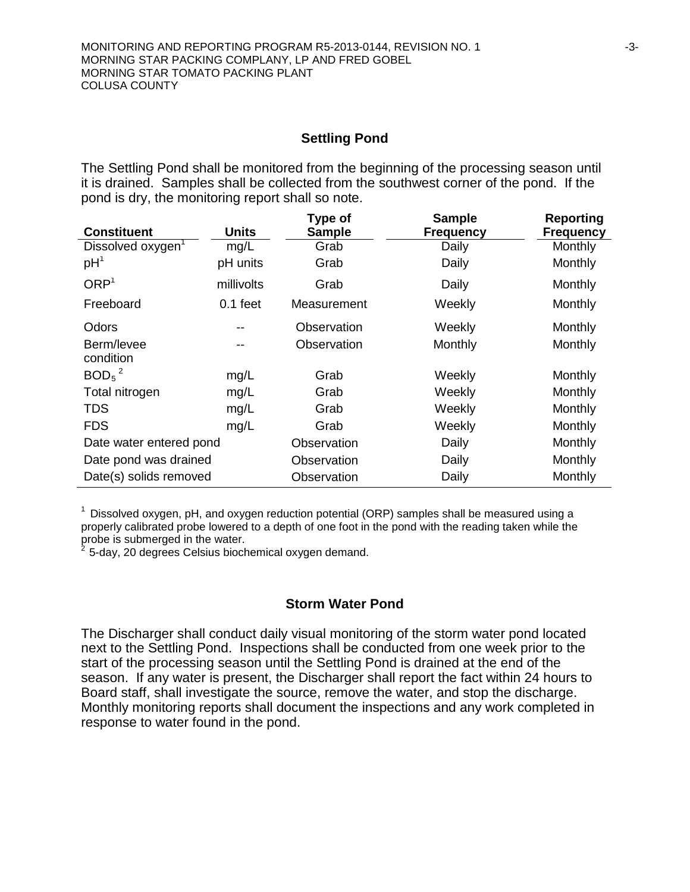#### **Settling Pond**

The Settling Pond shall be monitored from the beginning of the processing season until it is drained. Samples shall be collected from the southwest corner of the pond. If the pond is dry, the monitoring report shall so note.

| <b>Constituent</b>            | <b>Units</b> | Type of<br><b>Sample</b> | <b>Sample</b><br><b>Frequency</b> | Reporting<br><b>Frequency</b> |
|-------------------------------|--------------|--------------------------|-----------------------------------|-------------------------------|
| Dissolved oxygen <sup>1</sup> | mg/L         | Grab                     | Daily                             | Monthly                       |
| pH <sup>1</sup>               | pH units     | Grab                     | Daily                             | Monthly                       |
| ORP <sup>1</sup>              | millivolts   | Grab                     | Daily                             | Monthly                       |
| Freeboard                     | $0.1$ feet   | Measurement              | Weekly                            | Monthly                       |
| Odors                         | --           | Observation              | Weekly                            | Monthly                       |
| Berm/levee<br>condition       | --           | Observation              | Monthly                           | Monthly                       |
| $BOD5$ <sup>2</sup>           | mg/L         | Grab                     | Weekly                            | Monthly                       |
| Total nitrogen                | mg/L         | Grab                     | Weekly                            | Monthly                       |
| <b>TDS</b>                    | mg/L         | Grab                     | Weekly                            | Monthly                       |
| <b>FDS</b>                    | mg/L         | Grab                     | Weekly                            | Monthly                       |
| Date water entered pond       |              | Observation              | Daily                             | Monthly                       |
| Date pond was drained         |              | Observation              | Daily                             | Monthly                       |
| Date(s) solids removed        |              | Observation              | Daily                             | Monthly                       |

 $1$  Dissolved oxygen, pH, and oxygen reduction potential (ORP) samples shall be measured using a properly calibrated probe lowered to a depth of one foot in the pond with the reading taken while the probe is submerged in the water.

 $2$  5-day, 20 degrees Celsius biochemical oxygen demand.

#### **Storm Water Pond**

The Discharger shall conduct daily visual monitoring of the storm water pond located next to the Settling Pond. Inspections shall be conducted from one week prior to the start of the processing season until the Settling Pond is drained at the end of the season. If any water is present, the Discharger shall report the fact within 24 hours to Board staff, shall investigate the source, remove the water, and stop the discharge. Monthly monitoring reports shall document the inspections and any work completed in response to water found in the pond.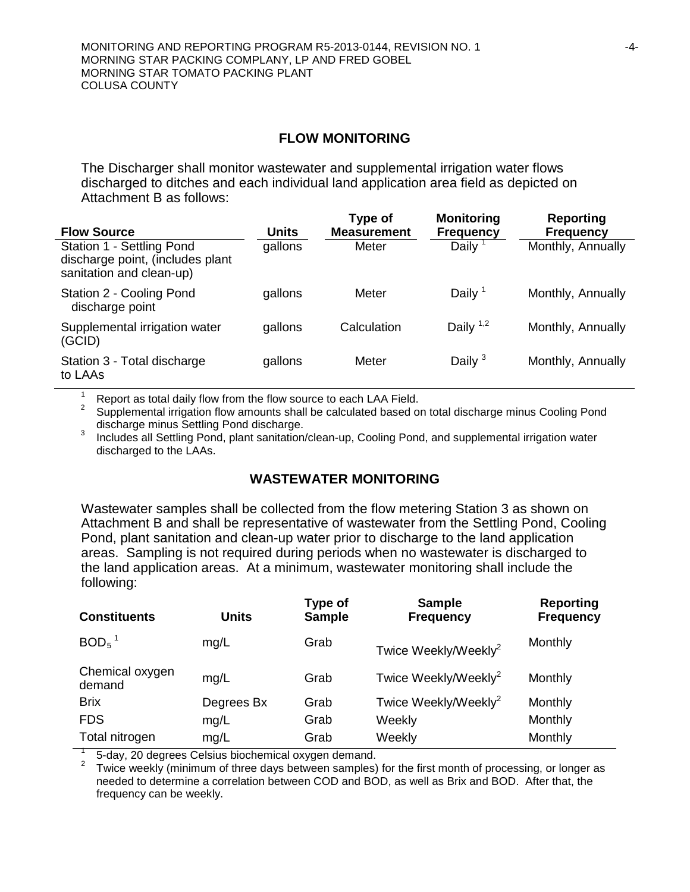#### **FLOW MONITORING**

The Discharger shall monitor wastewater and supplemental irrigation water flows discharged to ditches and each individual land application area field as depicted on Attachment B as follows:

| <b>Flow Source</b>                                                                        | Units   | Type of<br><b>Measurement</b> | <b>Monitoring</b><br><b>Frequency</b> | <b>Reporting</b><br><b>Frequency</b> |
|-------------------------------------------------------------------------------------------|---------|-------------------------------|---------------------------------------|--------------------------------------|
| Station 1 - Settling Pond<br>discharge point, (includes plant<br>sanitation and clean-up) | gallons | Meter                         | Daily $1$                             | Monthly, Annually                    |
| Station 2 - Cooling Pond<br>discharge point                                               | gallons | Meter                         | Daily $1$                             | Monthly, Annually                    |
| Supplemental irrigation water<br>(GCID)                                                   | gallons | Calculation                   | Daily $1,2$                           | Monthly, Annually                    |
| Station 3 - Total discharge<br>to LAAs                                                    | gallons | Meter                         | Daily $3$                             | Monthly, Annually                    |

<sup>1</sup> Report as total daily flow from the flow source to each LAA Field.<br><sup>2</sup> Supplemental irrigation flow amounts shall be calculated based on total discharge minus Cooling Pond discharge.

Includes all Settling Pond, plant sanitation/clean-up, Cooling Pond, and supplemental irrigation water discharged to the LAAs.

#### **WASTEWATER MONITORING**

Wastewater samples shall be collected from the flow metering Station 3 as shown on Attachment B and shall be representative of wastewater from the Settling Pond, Cooling Pond, plant sanitation and clean-up water prior to discharge to the land application areas. Sampling is not required during periods when no wastewater is discharged to the land application areas. At a minimum, wastewater monitoring shall include the following:

| <b>Units</b> | Type of<br><b>Sample</b> | <b>Sample</b><br><b>Frequency</b> | <b>Reporting</b><br><b>Frequency</b> |
|--------------|--------------------------|-----------------------------------|--------------------------------------|
| mg/L         | Grab                     | Twice Weekly/Weekly <sup>2</sup>  | Monthly                              |
| mg/L         | Grab                     | Twice Weekly/Weekly <sup>2</sup>  | Monthly                              |
| Degrees Bx   | Grab                     | Twice Weekly/Weekly <sup>2</sup>  | Monthly                              |
| mg/L         | Grab                     | Weekly                            | Monthly                              |
| mg/L         | Grab                     | Weekly                            | Monthly                              |
|              |                          |                                   |                                      |

<sup>1</sup> 5-day, 20 degrees Celsius biochemical oxygen demand. <sup>2</sup> Twice weekly (minimum of three days between samples) for the first month of processing, or longer as needed to determine a correlation between COD and BOD, as well as Brix and BOD. After that, the frequency can be weekly.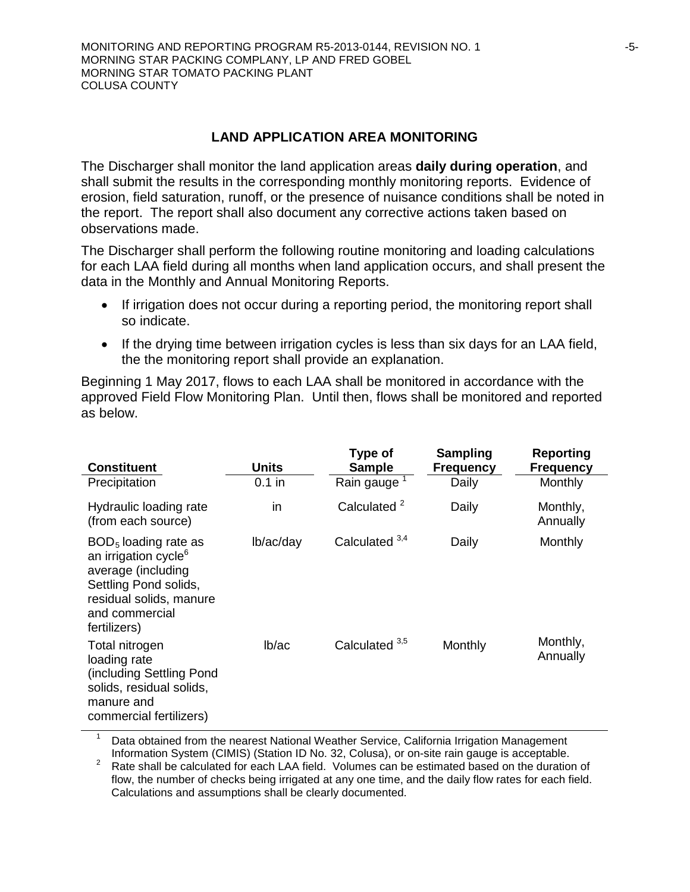### **LAND APPLICATION AREA MONITORING**

The Discharger shall monitor the land application areas **daily during operation**, and shall submit the results in the corresponding monthly monitoring reports. Evidence of erosion, field saturation, runoff, or the presence of nuisance conditions shall be noted in the report. The report shall also document any corrective actions taken based on observations made.

The Discharger shall perform the following routine monitoring and loading calculations for each LAA field during all months when land application occurs, and shall present the data in the Monthly and Annual Monitoring Reports.

- If irrigation does not occur during a reporting period, the monitoring report shall so indicate.
- If the drying time between irrigation cycles is less than six days for an LAA field, the the monitoring report shall provide an explanation.

Beginning 1 May 2017, flows to each LAA shall be monitored in accordance with the approved Field Flow Monitoring Plan. Until then, flows shall be monitored and reported as below.

| <b>Constituent</b>                                                                                                                                                     | Units     | Type of<br><b>Sample</b>  | <b>Sampling</b><br><b>Frequency</b> | Reporting<br><b>Frequency</b> |
|------------------------------------------------------------------------------------------------------------------------------------------------------------------------|-----------|---------------------------|-------------------------------------|-------------------------------|
| Precipitation                                                                                                                                                          | $0.1$ in  | Rain gauge <sup>1</sup>   | Daily                               | Monthly                       |
| Hydraulic loading rate<br>(from each source)                                                                                                                           | in        | Calculated <sup>2</sup>   | Daily                               | Monthly,<br>Annually          |
| $BOD5$ loading rate as<br>an irrigation cycle <sup>6</sup><br>average (including<br>Settling Pond solids,<br>residual solids, manure<br>and commercial<br>fertilizers) | lb/ac/day | Calculated $3,4$          | Daily                               | Monthly                       |
| Total nitrogen<br>loading rate<br>(including Settling Pond<br>solids, residual solids,<br>manure and<br>commercial fertilizers)                                        | lb/ac     | Calculated <sup>3,5</sup> | Monthly                             | Monthly,<br>Annually          |

Data obtained from the nearest National Weather Service, California Irrigation Management

Information System (CIMIS) (Station ID No. 32, Colusa), or on-site rain gauge is acceptable. <sup>2</sup> Rate shall be calculated for each LAA field. Volumes can be estimated based on the duration of flow, the number of checks being irrigated at any one time, and the daily flow rates for each field. Calculations and assumptions shall be clearly documented.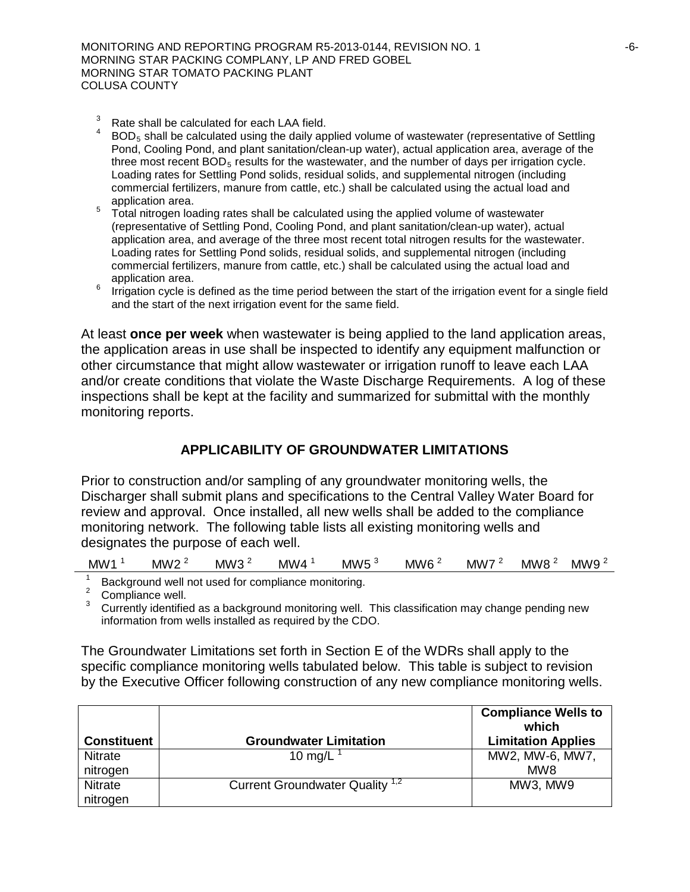- $3 \text{ Rate shall be calculated for each LAA field.}$
- $BOD<sub>5</sub>$  shall be calculated using the daily applied volume of wastewater (representative of Settling Pond, Cooling Pond, and plant sanitation/clean-up water), actual application area, average of the three most recent  $BOD<sub>5</sub>$  results for the wastewater, and the number of days per irrigation cycle. Loading rates for Settling Pond solids, residual solids, and supplemental nitrogen (including commercial fertilizers, manure from cattle, etc.) shall be calculated using the actual load and
- <sup>5</sup> Total nitrogen loading rates shall be calculated using the applied volume of wastewater (representative of Settling Pond, Cooling Pond, and plant sanitation/clean-up water), actual application area, and average of the three most recent total nitrogen results for the wastewater. Loading rates for Settling Pond solids, residual solids, and supplemental nitrogen (including commercial fertilizers, manure from cattle, etc.) shall be calculated using the actual load and
- $6$  Irrigation cycle is defined as the time period between the start of the irrigation event for a single field and the start of the next irrigation event for the same field.

At least **once per week** when wastewater is being applied to the land application areas, the application areas in use shall be inspected to identify any equipment malfunction or other circumstance that might allow wastewater or irrigation runoff to leave each LAA and/or create conditions that violate the Waste Discharge Requirements. A log of these inspections shall be kept at the facility and summarized for submittal with the monthly monitoring reports.

## **APPLICABILITY OF GROUNDWATER LIMITATIONS**

Prior to construction and/or sampling of any groundwater monitoring wells, the Discharger shall submit plans and specifications to the Central Valley Water Board for review and approval. Once installed, all new wells shall be added to the compliance monitoring network. The following table lists all existing monitoring wells and designates the purpose of each well.

| MW1 | <b>MW</b><br>- | MW <sup>-</sup> | ,,<br>Mν<br>'W | MW<br>. . | <b>MW</b> | <b>MW</b> | MW8 | МW<br>. . |
|-----|----------------|-----------------|----------------|-----------|-----------|-----------|-----|-----------|
|-----|----------------|-----------------|----------------|-----------|-----------|-----------|-----|-----------|

<sup>1</sup> Background well not used for compliance monitoring.<br><sup>2</sup> Compliance well.<br><sup>3</sup> Currently identified as a background monitoring well. This classification may change pending new information from wells installed as required by the CDO.

The Groundwater Limitations set forth in Section E of the WDRs shall apply to the specific compliance monitoring wells tabulated below. This table is subject to revision by the Executive Officer following construction of any new compliance monitoring wells.

| <b>Constituent</b> | <b>Groundwater Limitation</b>              | <b>Compliance Wells to</b><br>which<br><b>Limitation Applies</b> |
|--------------------|--------------------------------------------|------------------------------------------------------------------|
| <b>Nitrate</b>     | 10 mg/L                                    | MW2, MW-6, MW7,                                                  |
| nitrogen           |                                            | MW8                                                              |
| <b>Nitrate</b>     | Current Groundwater Quality <sup>1,2</sup> | MW3, MW9                                                         |
| nitrogen           |                                            |                                                                  |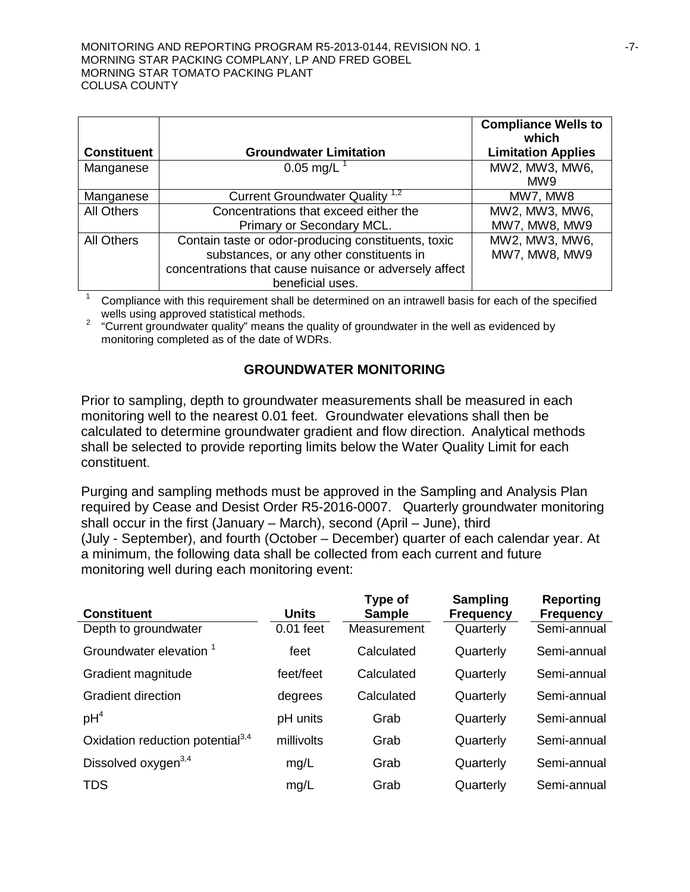|                    |                                                        | <b>Compliance Wells to</b><br>which |
|--------------------|--------------------------------------------------------|-------------------------------------|
| <b>Constituent</b> | <b>Groundwater Limitation</b>                          | <b>Limitation Applies</b>           |
| Manganese          | 0.05 mg/L $^{-1}$                                      | MW2, MW3, MW6,                      |
|                    |                                                        | MW9                                 |
| Manganese          | Current Groundwater Quality <sup>1,2</sup>             | MW7, MW8                            |
| <b>All Others</b>  | Concentrations that exceed either the                  | MW2, MW3, MW6,                      |
|                    | Primary or Secondary MCL.                              | MW7, MW8, MW9                       |
| All Others         | Contain taste or odor-producing constituents, toxic    | MW2, MW3, MW6,                      |
|                    | substances, or any other constituents in               | MW7, MW8, MW9                       |
|                    | concentrations that cause nuisance or adversely affect |                                     |
|                    | beneficial uses.                                       |                                     |

<sup>1</sup> Compliance with this requirement shall be determined on an intrawell basis for each of the specified wells using approved statistical methods.

<sup>2</sup> "Current groundwater quality" means the quality of groundwater in the well as evidenced by monitoring completed as of the date of WDRs.

## **GROUNDWATER MONITORING**

Prior to sampling, depth to groundwater measurements shall be measured in each monitoring well to the nearest 0.01 feet. Groundwater elevations shall then be calculated to determine groundwater gradient and flow direction. Analytical methods shall be selected to provide reporting limits below the Water Quality Limit for each constituent.

Purging and sampling methods must be approved in the Sampling and Analysis Plan required by Cease and Desist Order R5-2016-0007. Quarterly groundwater monitoring shall occur in the first (January – March), second (April – June), third (July - September), and fourth (October – December) quarter of each calendar year. At a minimum, the following data shall be collected from each current and future monitoring well during each monitoring event:

| <b>Constituent</b>                           | <b>Units</b> | Type of<br><b>Sample</b> | <b>Sampling</b><br><b>Frequency</b> | <b>Reporting</b><br><b>Frequency</b> |
|----------------------------------------------|--------------|--------------------------|-------------------------------------|--------------------------------------|
| Depth to groundwater                         | $0.01$ feet  | Measurement              | Quarterly                           | Semi-annual                          |
| Groundwater elevation <sup>1</sup>           | feet         | Calculated               | Quarterly                           | Semi-annual                          |
| Gradient magnitude                           | feet/feet    | Calculated               | Quarterly                           | Semi-annual                          |
| <b>Gradient direction</b>                    | degrees      | Calculated               | Quarterly                           | Semi-annual                          |
| pH <sup>4</sup>                              | pH units     | Grab                     | Quarterly                           | Semi-annual                          |
| Oxidation reduction potential <sup>3,4</sup> | millivolts   | Grab                     | Quarterly                           | Semi-annual                          |
| Dissolved oxygen <sup>3,4</sup>              | mg/L         | Grab                     | Quarterly                           | Semi-annual                          |
| <b>TDS</b>                                   | mg/L         | Grab                     | Quarterly                           | Semi-annual                          |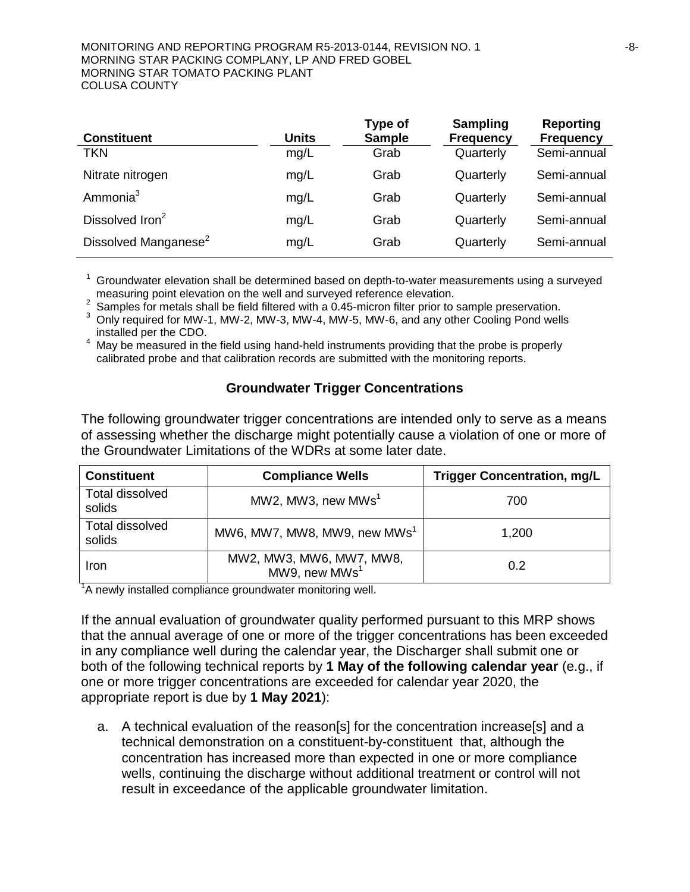#### MONITORING AND REPORTING PROGRAM R5-2013-0144, REVISION NO. 1  $-8$ -MORNING STAR PACKING COMPLANY, LP AND FRED GOBEL MORNING STAR TOMATO PACKING PLANT COLUSA COUNTY

| <b>Constituent</b>               | <b>Units</b> | Type of<br><b>Sample</b> | <b>Sampling</b><br><b>Frequency</b> | <b>Reporting</b><br><b>Frequency</b> |
|----------------------------------|--------------|--------------------------|-------------------------------------|--------------------------------------|
| <b>TKN</b>                       | mg/L         | Grab                     | Quarterly                           | Semi-annual                          |
| Nitrate nitrogen                 | mg/L         | Grab                     | Quarterly                           | Semi-annual                          |
| Ammonia <sup>3</sup>             | mg/L         | Grab                     | Quarterly                           | Semi-annual                          |
| Dissolved Iron <sup>2</sup>      | mg/L         | Grab                     | Quarterly                           | Semi-annual                          |
| Dissolved Manganese <sup>2</sup> | mg/L         | Grab                     | Quarterly                           | Semi-annual                          |

<sup>1</sup> Groundwater elevation shall be determined based on depth-to-water measurements using a surveyed measuring point elevation on the well and surveyed reference elevation.

<sup>2</sup> Samples for metals shall be field filtered with a 0.45-micron filter prior to sample preservation.<br><sup>3</sup> Only required for MW-1, MW-2, MW-3, MW-4, MW-5, MW-6, and any other Cooling Pond wells installed per the CDO.

May be measured in the field using hand-held instruments providing that the probe is properly calibrated probe and that calibration records are submitted with the monitoring reports.

#### **Groundwater Trigger Concentrations**

The following groundwater trigger concentrations are intended only to serve as a means of assessing whether the discharge might potentially cause a violation of one or more of the Groundwater Limitations of the WDRs at some later date.

| <b>Constituent</b>        | <b>Compliance Wells</b>                               | <b>Trigger Concentration, mg/L</b> |
|---------------------------|-------------------------------------------------------|------------------------------------|
| Total dissolved<br>solids | MW2, MW3, new MWs <sup>1</sup>                        | 700                                |
| Total dissolved<br>solids | MW6, MW7, MW8, MW9, new MWs <sup>1</sup>              | 1,200                              |
| Iron                      | MW2, MW3, MW6, MW7, MW8,<br>MW9, new MWs <sup>1</sup> | 0.2                                |

<sup>1</sup>A newly installed compliance groundwater monitoring well.

If the annual evaluation of groundwater quality performed pursuant to this MRP shows that the annual average of one or more of the trigger concentrations has been exceeded in any compliance well during the calendar year, the Discharger shall submit one or both of the following technical reports by **1 May of the following calendar year** (e.g., if one or more trigger concentrations are exceeded for calendar year 2020, the appropriate report is due by **1 May 2021**):

a. A technical evaluation of the reason[s] for the concentration increase[s] and a technical demonstration on a constituent-by-constituent that, although the concentration has increased more than expected in one or more compliance wells, continuing the discharge without additional treatment or control will not result in exceedance of the applicable groundwater limitation.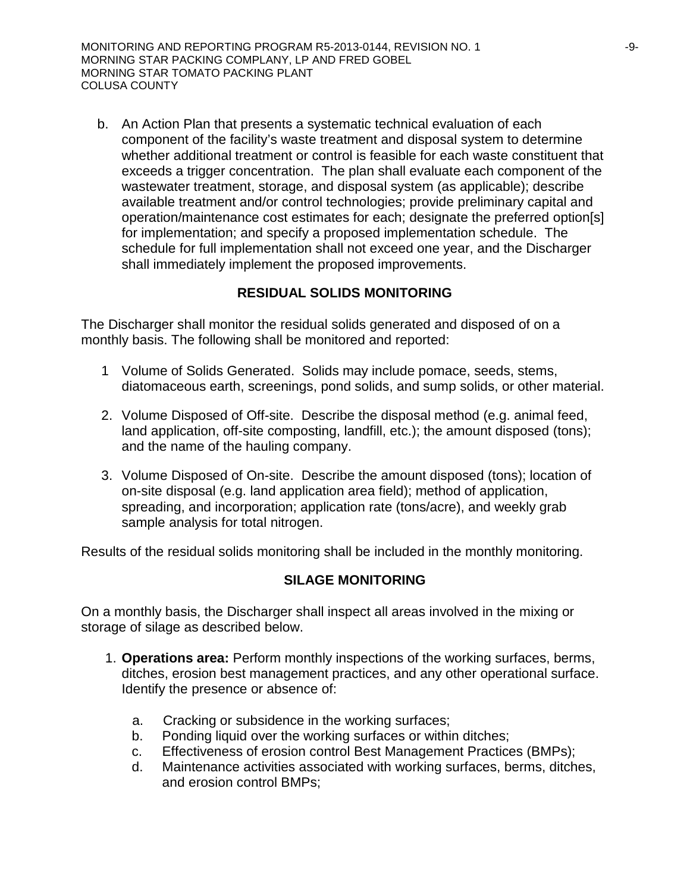b. An Action Plan that presents a systematic technical evaluation of each component of the facility's waste treatment and disposal system to determine whether additional treatment or control is feasible for each waste constituent that exceeds a trigger concentration. The plan shall evaluate each component of the wastewater treatment, storage, and disposal system (as applicable); describe available treatment and/or control technologies; provide preliminary capital and operation/maintenance cost estimates for each; designate the preferred option[s] for implementation; and specify a proposed implementation schedule. The schedule for full implementation shall not exceed one year, and the Discharger shall immediately implement the proposed improvements.

## **RESIDUAL SOLIDS MONITORING**

The Discharger shall monitor the residual solids generated and disposed of on a monthly basis. The following shall be monitored and reported:

- 1 Volume of Solids Generated. Solids may include pomace, seeds, stems, diatomaceous earth, screenings, pond solids, and sump solids, or other material.
- 2. Volume Disposed of Off-site. Describe the disposal method (e.g. animal feed, land application, off-site composting, landfill, etc.); the amount disposed (tons); and the name of the hauling company.
- 3. Volume Disposed of On-site. Describe the amount disposed (tons); location of on-site disposal (e.g. land application area field); method of application, spreading, and incorporation; application rate (tons/acre), and weekly grab sample analysis for total nitrogen.

Results of the residual solids monitoring shall be included in the monthly monitoring.

## **SILAGE MONITORING**

On a monthly basis, the Discharger shall inspect all areas involved in the mixing or storage of silage as described below.

- 1. **Operations area:** Perform monthly inspections of the working surfaces, berms, ditches, erosion best management practices, and any other operational surface. Identify the presence or absence of:
	- a. Cracking or subsidence in the working surfaces;
	- b. Ponding liquid over the working surfaces or within ditches;
	- c. Effectiveness of erosion control Best Management Practices (BMPs);
	- d. Maintenance activities associated with working surfaces, berms, ditches, and erosion control BMPs;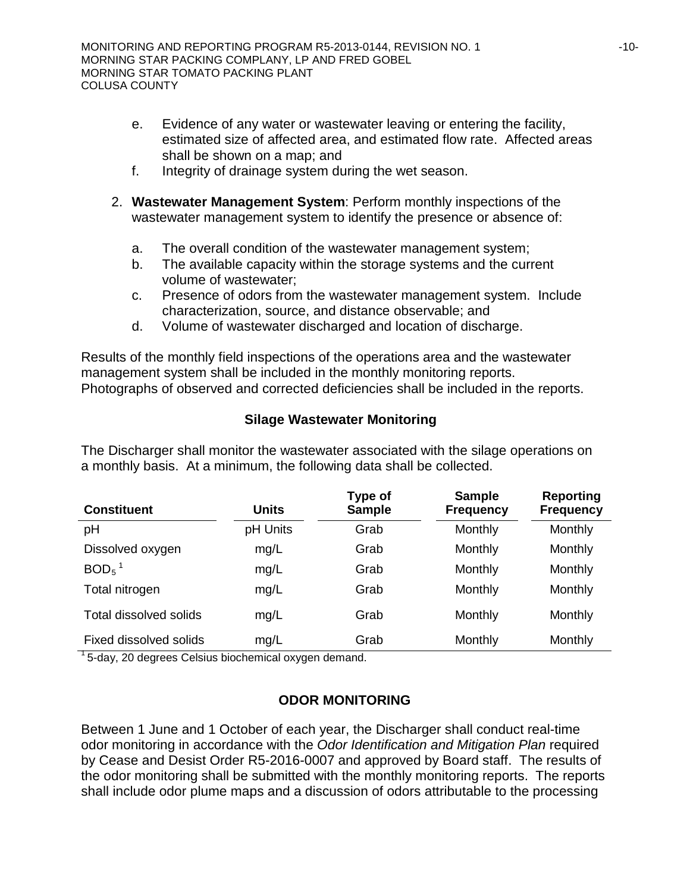- e. Evidence of any water or wastewater leaving or entering the facility, estimated size of affected area, and estimated flow rate. Affected areas shall be shown on a map; and
- f. Integrity of drainage system during the wet season.
- 2. **Wastewater Management System**: Perform monthly inspections of the wastewater management system to identify the presence or absence of:
	- a. The overall condition of the wastewater management system;
	- b. The available capacity within the storage systems and the current volume of wastewater;
	- c. Presence of odors from the wastewater management system. Include characterization, source, and distance observable; and
	- d. Volume of wastewater discharged and location of discharge.

Results of the monthly field inspections of the operations area and the wastewater management system shall be included in the monthly monitoring reports. Photographs of observed and corrected deficiencies shall be included in the reports.

## **Silage Wastewater Monitoring**

The Discharger shall monitor the wastewater associated with the silage operations on a monthly basis. At a minimum, the following data shall be collected.

| <b>Constituent</b>     | <b>Units</b> | Type of<br><b>Sample</b> | <b>Sample</b><br><b>Frequency</b> | <b>Reporting</b><br><b>Frequency</b> |
|------------------------|--------------|--------------------------|-----------------------------------|--------------------------------------|
| pH                     | pH Units     | Grab                     | Monthly                           | Monthly                              |
| Dissolved oxygen       | mg/L         | Grab                     | Monthly                           | Monthly                              |
| $BOD5$ <sup>1</sup>    | mg/L         | Grab                     | Monthly                           | Monthly                              |
| Total nitrogen         | mg/L         | Grab                     | Monthly                           | Monthly                              |
| Total dissolved solids | mg/L         | Grab                     | Monthly                           | Monthly                              |
| Fixed dissolved solids | mg/L         | Grab                     | Monthly                           | Monthly                              |

 $1$ <sub>5</sub>-day, 20 degrees Celsius biochemical oxygen demand.

## **ODOR MONITORING**

Between 1 June and 1 October of each year, the Discharger shall conduct real-time odor monitoring in accordance with the *Odor Identification and Mitigation Plan* required by Cease and Desist Order R5-2016-0007 and approved by Board staff. The results of the odor monitoring shall be submitted with the monthly monitoring reports. The reports shall include odor plume maps and a discussion of odors attributable to the processing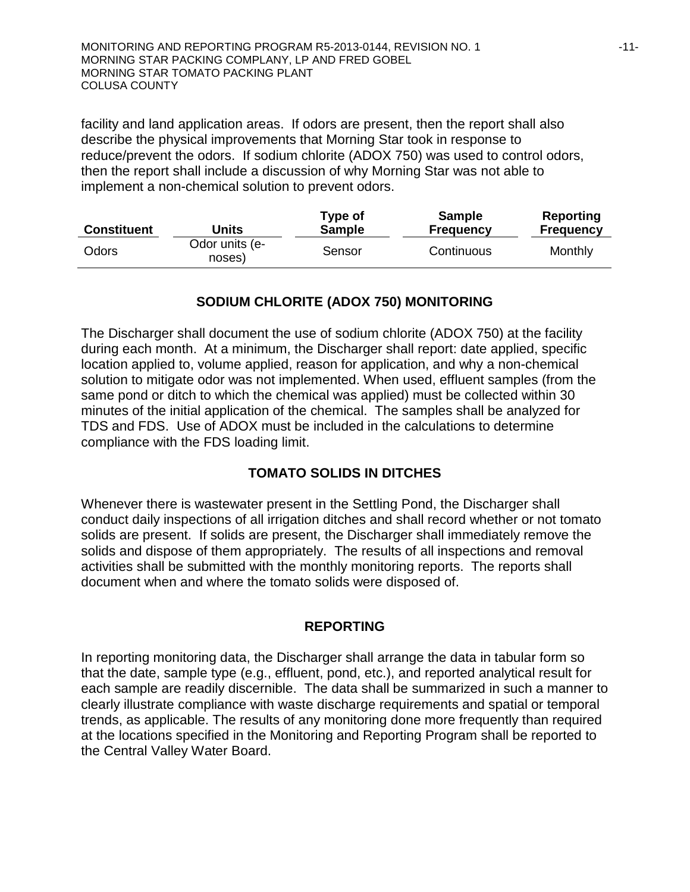facility and land application areas. If odors are present, then the report shall also describe the physical improvements that Morning Star took in response to reduce/prevent the odors. If sodium chlorite (ADOX 750) was used to control odors, then the report shall include a discussion of why Morning Star was not able to implement a non-chemical solution to prevent odors.

| <b>Constituent</b> | Units                    | Type of<br><b>Sample</b> | <b>Sample</b><br><b>Frequency</b> | Reporting<br><b>Frequency</b> |
|--------------------|--------------------------|--------------------------|-----------------------------------|-------------------------------|
| Odors              | Odor units (e-<br>noses) | Sensor                   | Continuous                        | Monthly                       |

# **SODIUM CHLORITE (ADOX 750) MONITORING**

The Discharger shall document the use of sodium chlorite (ADOX 750) at the facility during each month. At a minimum, the Discharger shall report: date applied, specific location applied to, volume applied, reason for application, and why a non-chemical solution to mitigate odor was not implemented. When used, effluent samples (from the same pond or ditch to which the chemical was applied) must be collected within 30 minutes of the initial application of the chemical. The samples shall be analyzed for TDS and FDS. Use of ADOX must be included in the calculations to determine compliance with the FDS loading limit.

# **TOMATO SOLIDS IN DITCHES**

Whenever there is wastewater present in the Settling Pond, the Discharger shall conduct daily inspections of all irrigation ditches and shall record whether or not tomato solids are present. If solids are present, the Discharger shall immediately remove the solids and dispose of them appropriately. The results of all inspections and removal activities shall be submitted with the monthly monitoring reports. The reports shall document when and where the tomato solids were disposed of.

## **REPORTING**

In reporting monitoring data, the Discharger shall arrange the data in tabular form so that the date, sample type (e.g., effluent, pond, etc.), and reported analytical result for each sample are readily discernible. The data shall be summarized in such a manner to clearly illustrate compliance with waste discharge requirements and spatial or temporal trends, as applicable. The results of any monitoring done more frequently than required at the locations specified in the Monitoring and Reporting Program shall be reported to the Central Valley Water Board.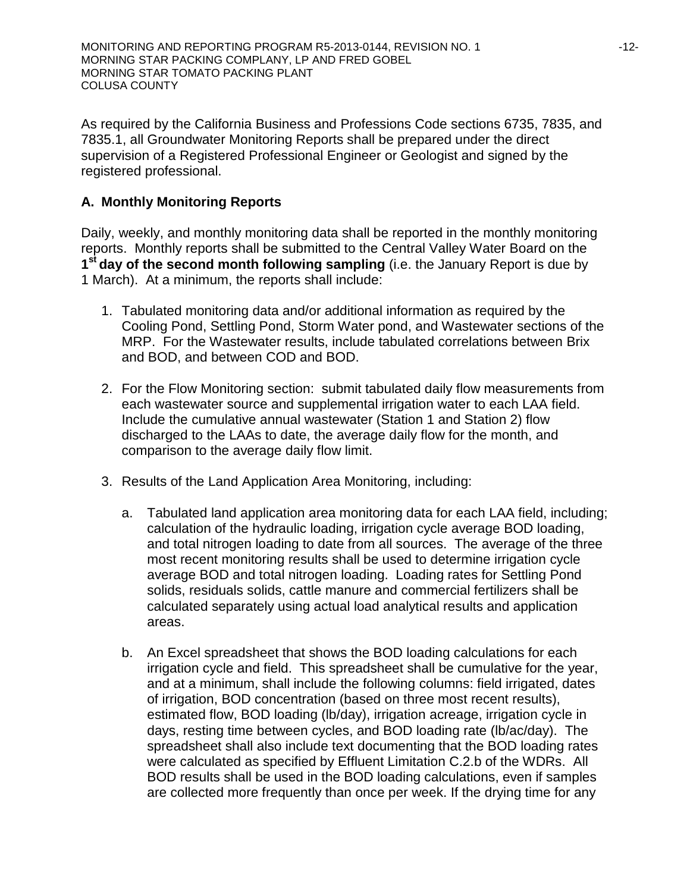As required by the California Business and Professions Code sections 6735, 7835, and 7835.1, all Groundwater Monitoring Reports shall be prepared under the direct supervision of a Registered Professional Engineer or Geologist and signed by the registered professional.

# **A. Monthly Monitoring Reports**

Daily, weekly, and monthly monitoring data shall be reported in the monthly monitoring reports. Monthly reports shall be submitted to the Central Valley Water Board on the **1st day of the second month following sampling** (i.e. the January Report is due by 1 March). At a minimum, the reports shall include:

- 1. Tabulated monitoring data and/or additional information as required by the Cooling Pond, Settling Pond, Storm Water pond, and Wastewater sections of the MRP. For the Wastewater results, include tabulated correlations between Brix and BOD, and between COD and BOD.
- 2. For the Flow Monitoring section: submit tabulated daily flow measurements from each wastewater source and supplemental irrigation water to each LAA field. Include the cumulative annual wastewater (Station 1 and Station 2) flow discharged to the LAAs to date, the average daily flow for the month, and comparison to the average daily flow limit.
- 3. Results of the Land Application Area Monitoring, including:
	- a. Tabulated land application area monitoring data for each LAA field, including; calculation of the hydraulic loading, irrigation cycle average BOD loading, and total nitrogen loading to date from all sources. The average of the three most recent monitoring results shall be used to determine irrigation cycle average BOD and total nitrogen loading. Loading rates for Settling Pond solids, residuals solids, cattle manure and commercial fertilizers shall be calculated separately using actual load analytical results and application areas.
	- b. An Excel spreadsheet that shows the BOD loading calculations for each irrigation cycle and field. This spreadsheet shall be cumulative for the year, and at a minimum, shall include the following columns: field irrigated, dates of irrigation, BOD concentration (based on three most recent results), estimated flow, BOD loading (lb/day), irrigation acreage, irrigation cycle in days, resting time between cycles, and BOD loading rate (lb/ac/day). The spreadsheet shall also include text documenting that the BOD loading rates were calculated as specified by Effluent Limitation C.2.b of the WDRs. All BOD results shall be used in the BOD loading calculations, even if samples are collected more frequently than once per week. If the drying time for any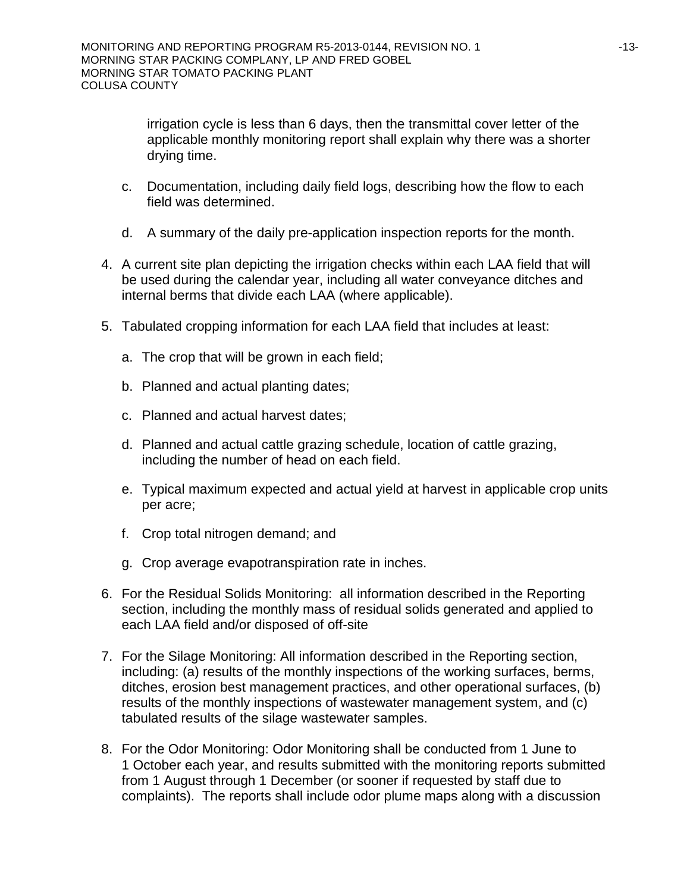irrigation cycle is less than 6 days, then the transmittal cover letter of the applicable monthly monitoring report shall explain why there was a shorter drying time.

- c. Documentation, including daily field logs, describing how the flow to each field was determined.
- d. A summary of the daily pre-application inspection reports for the month.
- 4. A current site plan depicting the irrigation checks within each LAA field that will be used during the calendar year, including all water conveyance ditches and internal berms that divide each LAA (where applicable).
- 5. Tabulated cropping information for each LAA field that includes at least:
	- a. The crop that will be grown in each field;
	- b. Planned and actual planting dates;
	- c. Planned and actual harvest dates;
	- d. Planned and actual cattle grazing schedule, location of cattle grazing, including the number of head on each field.
	- e. Typical maximum expected and actual yield at harvest in applicable crop units per acre;
	- f. Crop total nitrogen demand; and
	- g. Crop average evapotranspiration rate in inches.
- 6. For the Residual Solids Monitoring: all information described in the Reporting section, including the monthly mass of residual solids generated and applied to each LAA field and/or disposed of off-site
- 7. For the Silage Monitoring: All information described in the Reporting section, including: (a) results of the monthly inspections of the working surfaces, berms, ditches, erosion best management practices, and other operational surfaces, (b) results of the monthly inspections of wastewater management system, and (c) tabulated results of the silage wastewater samples.
- 8. For the Odor Monitoring: Odor Monitoring shall be conducted from 1 June to 1 October each year, and results submitted with the monitoring reports submitted from 1 August through 1 December (or sooner if requested by staff due to complaints). The reports shall include odor plume maps along with a discussion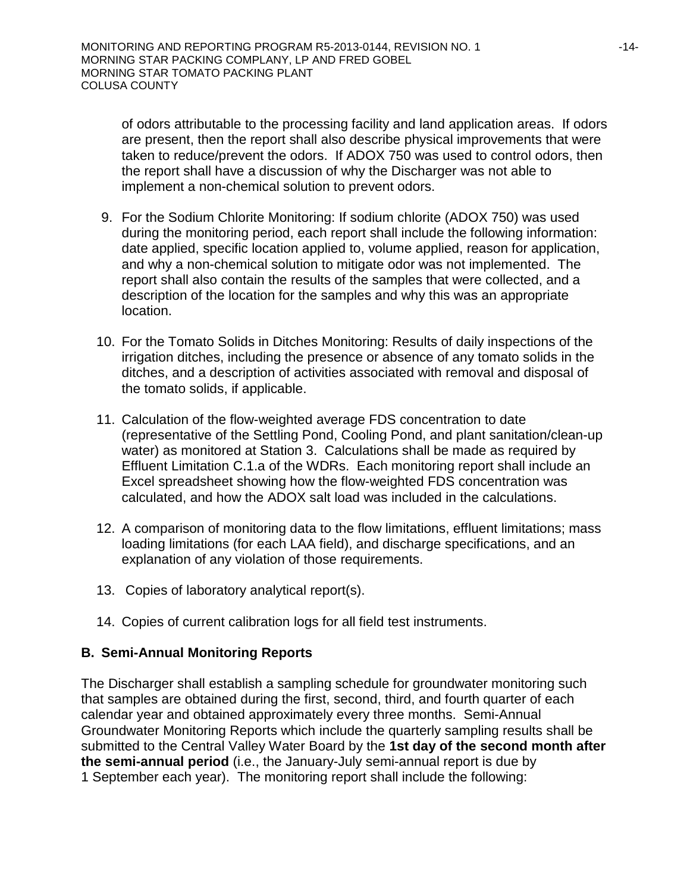of odors attributable to the processing facility and land application areas. If odors are present, then the report shall also describe physical improvements that were taken to reduce/prevent the odors. If ADOX 750 was used to control odors, then the report shall have a discussion of why the Discharger was not able to implement a non-chemical solution to prevent odors.

- 9. For the Sodium Chlorite Monitoring: If sodium chlorite (ADOX 750) was used during the monitoring period, each report shall include the following information: date applied, specific location applied to, volume applied, reason for application, and why a non-chemical solution to mitigate odor was not implemented. The report shall also contain the results of the samples that were collected, and a description of the location for the samples and why this was an appropriate location.
- 10. For the Tomato Solids in Ditches Monitoring: Results of daily inspections of the irrigation ditches, including the presence or absence of any tomato solids in the ditches, and a description of activities associated with removal and disposal of the tomato solids, if applicable.
- 11. Calculation of the flow-weighted average FDS concentration to date (representative of the Settling Pond, Cooling Pond, and plant sanitation/clean-up water) as monitored at Station 3. Calculations shall be made as required by Effluent Limitation C.1.a of the WDRs. Each monitoring report shall include an Excel spreadsheet showing how the flow-weighted FDS concentration was calculated, and how the ADOX salt load was included in the calculations.
- 12. A comparison of monitoring data to the flow limitations, effluent limitations; mass loading limitations (for each LAA field), and discharge specifications, and an explanation of any violation of those requirements.
- 13. Copies of laboratory analytical report(s).
- 14. Copies of current calibration logs for all field test instruments.

## **B. Semi-Annual Monitoring Reports**

The Discharger shall establish a sampling schedule for groundwater monitoring such that samples are obtained during the first, second, third, and fourth quarter of each calendar year and obtained approximately every three months. Semi-Annual Groundwater Monitoring Reports which include the quarterly sampling results shall be submitted to the Central Valley Water Board by the **1st day of the second month after the semi-annual period** (i.e., the January-July semi-annual report is due by 1 September each year). The monitoring report shall include the following: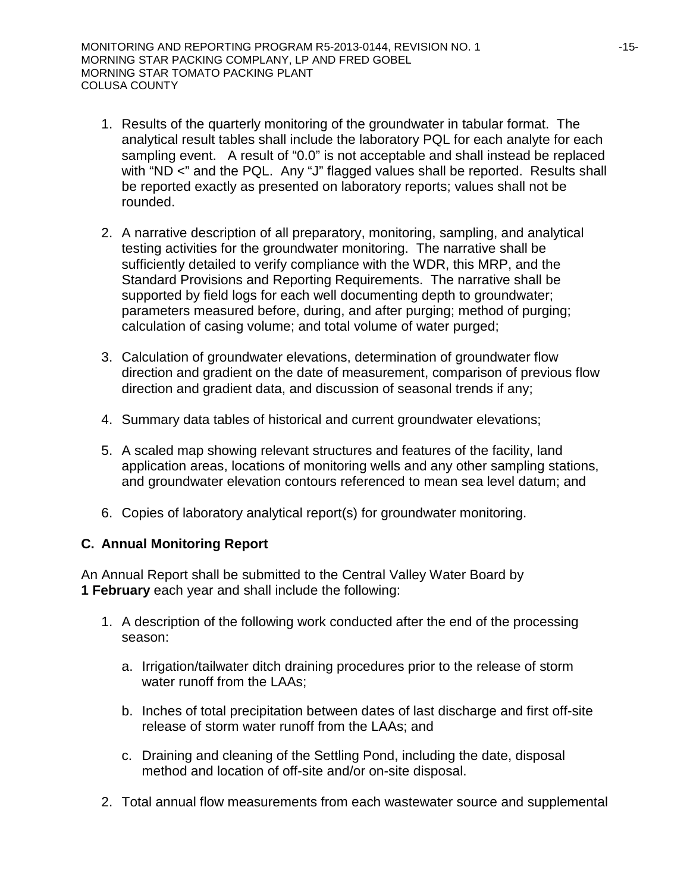- 1. Results of the quarterly monitoring of the groundwater in tabular format. The analytical result tables shall include the laboratory PQL for each analyte for each sampling event. A result of "0.0" is not acceptable and shall instead be replaced with "ND <" and the PQL. Any "J" flagged values shall be reported. Results shall be reported exactly as presented on laboratory reports; values shall not be rounded.
- 2. A narrative description of all preparatory, monitoring, sampling, and analytical testing activities for the groundwater monitoring. The narrative shall be sufficiently detailed to verify compliance with the WDR, this MRP, and the Standard Provisions and Reporting Requirements. The narrative shall be supported by field logs for each well documenting depth to groundwater; parameters measured before, during, and after purging; method of purging; calculation of casing volume; and total volume of water purged;
- 3. Calculation of groundwater elevations, determination of groundwater flow direction and gradient on the date of measurement, comparison of previous flow direction and gradient data, and discussion of seasonal trends if any;
- 4. Summary data tables of historical and current groundwater elevations;
- 5. A scaled map showing relevant structures and features of the facility, land application areas, locations of monitoring wells and any other sampling stations, and groundwater elevation contours referenced to mean sea level datum; and
- 6. Copies of laboratory analytical report(s) for groundwater monitoring.

## **C. Annual Monitoring Report**

An Annual Report shall be submitted to the Central Valley Water Board by **1 February** each year and shall include the following:

- 1. A description of the following work conducted after the end of the processing season:
	- a. Irrigation/tailwater ditch draining procedures prior to the release of storm water runoff from the LAAs;
	- b. Inches of total precipitation between dates of last discharge and first off-site release of storm water runoff from the LAAs; and
	- c. Draining and cleaning of the Settling Pond, including the date, disposal method and location of off-site and/or on-site disposal.
- 2. Total annual flow measurements from each wastewater source and supplemental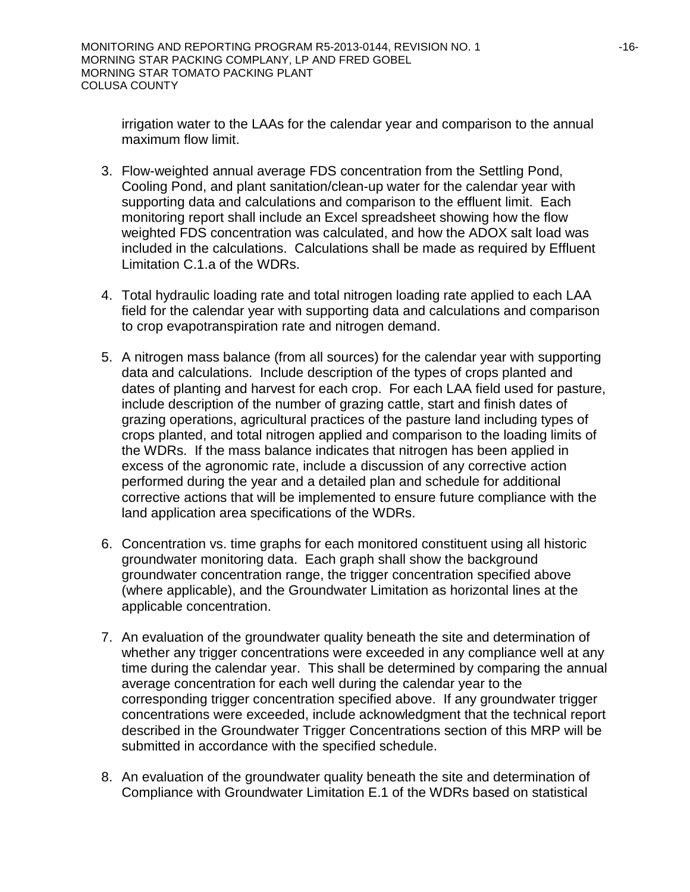irrigation water to the LAAs for the calendar year and comparison to the annual maximum flow limit.

- 3. Flow-weighted annual average FDS concentration from the Settling Pond, Cooling Pond, and plant sanitation/clean-up water for the calendar year with supporting data and calculations and comparison to the effluent limit. Each monitoring report shall include an Excel spreadsheet showing how the flow weighted FDS concentration was calculated, and how the ADOX salt load was included in the calculations. Calculations shall be made as required by Effluent Limitation C.1.a of the WDRs.
- 4. Total hydraulic loading rate and total nitrogen loading rate applied to each LAA field for the calendar year with supporting data and calculations and comparison to crop evapotranspiration rate and nitrogen demand.
- 5. A nitrogen mass balance (from all sources) for the calendar year with supporting data and calculations. Include description of the types of crops planted and dates of planting and harvest for each crop. For each LAA field used for pasture, include description of the number of grazing cattle, start and finish dates of grazing operations, agricultural practices of the pasture land including types of crops planted, and total nitrogen applied and comparison to the loading limits of the WDRs. If the mass balance indicates that nitrogen has been applied in excess of the agronomic rate, include a discussion of any corrective action performed during the year and a detailed plan and schedule for additional corrective actions that will be implemented to ensure future compliance with the land application area specifications of the WDRs.
- 6. Concentration vs. time graphs for each monitored constituent using all historic groundwater monitoring data. Each graph shall show the background groundwater concentration range, the trigger concentration specified above (where applicable), and the Groundwater Limitation as horizontal lines at the applicable concentration.
- 7. An evaluation of the groundwater quality beneath the site and determination of whether any trigger concentrations were exceeded in any compliance well at any time during the calendar year. This shall be determined by comparing the annual average concentration for each well during the calendar year to the corresponding trigger concentration specified above. If any groundwater trigger concentrations were exceeded, include acknowledgment that the technical report described in the Groundwater Trigger Concentrations section of this MRP will be submitted in accordance with the specified schedule.
- 8. An evaluation of the groundwater quality beneath the site and determination of Compliance with Groundwater Limitation E.1 of the WDRs based on statistical